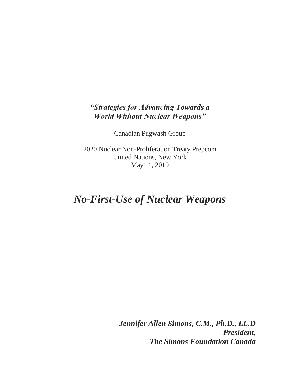## *"Strategies for Advancing Towards a World Without Nuclear Weapons"*

Canadian Pugwash Group

2020 Nuclear Non-Proliferation Treaty Prepcom United Nations, New York May 1<sup>st</sup>, 2019

## *No-First-Use of Nuclear Weapons*

*Jennifer Allen Simons, C.M., Ph.D., LL.D President, The Simons Foundation Canada*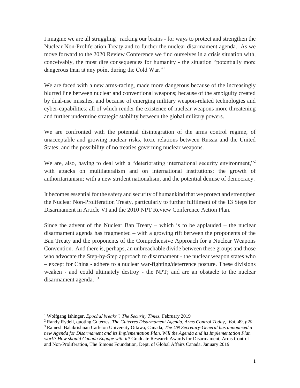I imagine we are all struggling– racking our brains - for ways to protect and strengthen the Nuclear Non-Proliferation Treaty and to further the nuclear disarmament agenda. As we move forward to the 2020 Review Conference we find ourselves in a crisis situation with, conceivably, the most dire consequences for humanity - the situation "potentially more dangerous than at any point during the Cold War."<sup>1</sup>

We are faced with a new arms-racing, made more dangerous because of the increasingly blurred line between nuclear and conventional weapons; because of the ambiguity created by dual-use missiles, and because of emerging military weapon-related technologies and cyber-capabilities; all of which render the existence of nuclear weapons more threatening and further undermine strategic stability between the global military powers.

We are confronted with the potential disintegration of the arms control regime, of unacceptable and growing nuclear risks, toxic relations between Russia and the United States; and the possibility of no treaties governing nuclear weapons.

We are, also, having to deal with a "deteriorating international security environment,"<sup>2</sup> with attacks on multilateralism and on international institutions; the growth of authoritarianism; with a new strident nationalism, and the potential demise of democracy.

It becomes essential for the safety and security of humankind that we protect and strengthen the Nuclear Non-Proliferation Treaty*,* particularly to further fulfilment of the 13 Steps for Disarmament in Article VI and the 2010 NPT Review Conference Action Plan.

Since the advent of the Nuclear Ban Treaty – which is to be applauded – the nuclear disarmament agenda has fragmented – with a growing rift between the proponents of the Ban Treaty and the proponents of the Comprehensive Approach for a Nuclear Weapons Convention. And there is, perhaps, an unbreachable divide between these groups and those who advocate the Step-by-Step approach to disarmament - the nuclear weapon states who – except for China - adhere to a nuclear war-fighting/deterrence posture. These divisions weaken - and could ultimately destroy - the NPT; and are an obstacle to the nuclear disarmament agenda. <sup>3</sup>

<sup>1</sup> Wolfgang Ishinger, *Epochal breaks", The Security Times,* February 2019

<sup>2</sup> Randy Rydell, quoting Guterres, *The Guterres Disarmament Agenda, Arms Control Today, Vol. 49, p20* <sup>3</sup> Ramesh Balakrishnan Carleton University Ottawa, Canada, *The UN Secretary-General has announced a new Agenda for Disarmament and its Implementation Plan. Will the Agenda and its Implementation Plan work? How should Canada Engage with it?* Graduate Research Awards for Disarmament, Arms Control and Non-Proliferation, The Simons Foundation, Dept. of Global Affairs Canada. January 2019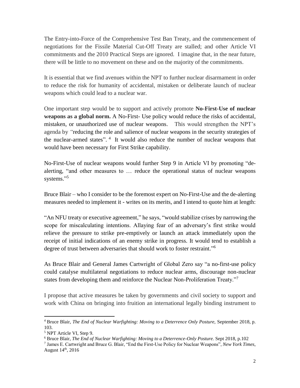The Entry-into-Force of the Comprehensive Test Ban Treaty, and the commencement of negotiations for the Fissile Material Cut-Off Treaty are stalled; and other Article VI commitments and the 2010 Practical Steps are ignored. I imagine that, in the near future, there will be little to no movement on these and on the majority of the commitments.

It is essential that we find avenues within the NPT to further nuclear disarmament in order to reduce the risk for humanity of accidental, mistaken or deliberate launch of nuclear weapons which could lead to a nuclear war.

One important step would be to support and actively promote **No-First-Use of nuclear weapons as a global norm.** A No-First- Use policy would reduce the risks of accidental, mistaken, or unauthorized use of nuclear weapons. This would strengthen the NPT's agenda by *"*reducing the role and salience of nuclear weapons in the security strategies of the nuclear-armed states". <sup>4</sup> It would also reduce the number of nuclear weapons that would have been necessary for First Strike capability.

No-First-Use of nuclear weapons would further Step 9 in Article VI by promoting "dealerting, "and other measures to … reduce the operational status of nuclear weapons systems."<sup>5</sup>

Bruce Blair – who I consider to be the foremost expert on No-First-Use and the de-alerting measures needed to implement it - writes on its merits, and I intend to quote him at length:

"An NFU treaty or executive agreement," he says, "would stabilize crises by narrowing the scope for miscalculating intentions. Allaying fear of an adversary's first strike would relieve the pressure to strike pre-emptively or launch an attack immediately upon the receipt of initial indications of an enemy strike in progress. It would tend to establish a degree of trust between adversaries that should work to foster restraint."<sup>6</sup>

As Bruce Blair and General James Cartwright of Global Zero say "a no-first-use policy could catalyse multilateral negotiations to reduce nuclear arms, discourage non-nuclear states from developing them and reinforce the Nuclear Non-Proliferation Treaty."<sup>7</sup>

I propose that active measures be taken by governments and civil society to support and work with China on bringing into fruition an international legally binding instrument to

<sup>4</sup> Bruce Blair, *The End of Nuclear Warfighting: Moving to a Deterrence Only Posture,* September 2018, p. 103.

<sup>5</sup> NPT Article VI, Step 9.

<sup>6</sup> Bruce Blair, *The End of Nuclear Warfighting: Moving to a Deterrence-Only Posture.* Sept 2018, p.102

<sup>7</sup> James E. Cartwright and Bruce G. Blair, "End the First-Use Policy for Nuclear Weapons", *New York Times*, August 14th, 2016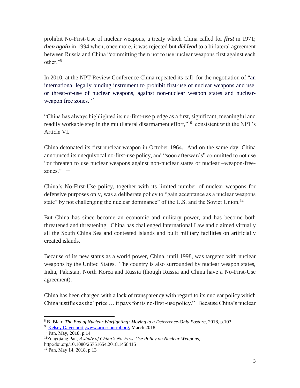prohibit No-First-Use of nuclear weapons, a treaty which China called for *first* in 1971; *then again* in 1994 when, once more, it was rejected but *did lead* to a bi-lateral agreement between Russia and China "committing them not to use nuclear weapons first against each other."<sup>8</sup>

In 2010, at the NPT Review Conference China repeated its call for the negotiation of "an international legally binding instrument to prohibit first-use of nuclear weapons and use, or threat-of-use of nuclear weapons, against non-nuclear weapon states and nuclearweapon free zones."<sup>9</sup>

"China has always highlighted its no-first-use pledge as a first, significant, meaningful and readily workable step in the multilateral disarmament effort,"<sup>10</sup> consistent with the NPT's Article VI.

China detonated its first nuclear weapon in October 1964. And on the same day, China announced its unequivocal no-first-use policy, and "soon afterwards" committed to not use "or threaten to use nuclear weapons against non-nuclear states or nuclear –weapon-freezones." $11$ 

China's No-First-Use policy, together with its limited number of nuclear weapons for defensive purposes only, was a deliberate policy to "gain acceptance as a nuclear weapons state" by not challenging the nuclear dominance" of the U.S. and the Soviet Union.<sup>12</sup>

But China has since become an economic and military power, and has become both threatened and threatening. China has challenged International Law and claimed virtually all the South China Sea and contested islands and built military facilities on artificially created islands.

Because of its new status as a world power, China, until 1998, was targeted with nuclear weapons by the United States. The country is also surrounded by nuclear weapon states, India, Pakistan, North Korea and Russia (though Russia and China have a No-First-Use agreement).

China has been charged with a lack of transparency with regard to its nuclear policy which China justifies as the "price … it pays for its no-first -use policy." Because China's nuclear

 $\overline{\phantom{a}}$ <sup>8</sup> B. Blair, *The End of Nuclear Warfighting: Moving to a Deterrence-Only Posture,* 2018, p.103

<sup>9</sup> [Kelsey Davenport](https://www.armscontrol.org/about/kelsey_davenport) [,www.armscontrol.org,](https://www.armscontrol.org/) March 2018

<sup>10</sup> Pan, May, 2018, p.14

<sup>11</sup>Zengqiang Pan, *A study of China's No-First-Use Policy on Nuclear Weapons,* http:/doi.org/10.1080/25751654.2018.1458415

<sup>12</sup> Pan, May 14, 2018, p.13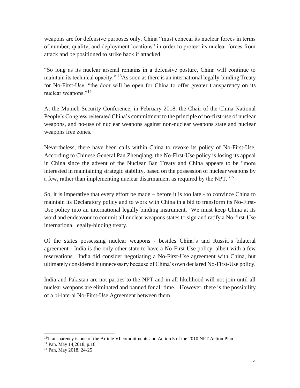weapons are for defensive purposes only, China "must conceal its nuclear forces in terms of number, quality, and deployment locations" in order to protect its nuclear forces from attack and be positioned to strike back if attacked.

"So long as its nuclear arsenal remains in a defensive posture, China will continue to maintain its technical opacity." <sup>13</sup>As soon as there is an international legally-binding Treaty for No-First-Use, "the door will be open for China to offer greater transparency on its nuclear weapons."<sup>14</sup>

At the Munich Security Conference, in February 2018, the Chair of the China National People's Congress reiterated China's commitment to the principle of no-first-use of nuclear weapons, and no-use of nuclear weapons against non-nuclear weapons state and nuclear weapons free zones.

Nevertheless, there have been calls within China to revoke its policy of No-First-Use. According to Chinese General Pan Zhenqiang, the No-First-Use policy is losing its appeal in China since the advent of the Nuclear Ban Treaty and China appears to be "more interested in maintaining strategic stability, based on the possession of nuclear weapons by a few, rather than implementing nuclear disarmament as required by the NPT."<sup>15</sup>

So, it is imperative that every effort be made – before it is too late - to convince China to maintain its Declaratory policy and to work with China in a bid to transform its No-First-Use policy into an international legally binding instrument. We must keep China at its word and endeavour to commit all nuclear weapons states to sign and ratify a No-first-Use international legally-binding treaty.

Of the states possessing nuclear weapons - besides China's and Russia's bilateral agreement - India is the only other state to have a No-First-Use policy, albeit with a few reservations. India did consider negotiating a No-First-Use agreement with China, but ultimately considered it unnecessary because of China's own declared No-First-Use policy.

India and Pakistan are not parties to the NPT and in all likelihood will not join until all nuclear weapons are eliminated and banned for all time. However, there is the possibility of a bi-lateral No-First-Use Agreement between them.

<sup>&</sup>lt;sup>13</sup>Transparency is one of the Article VI commitments and Action 5 of the 2010 NPT Action Plan.

<sup>14</sup> Pan, May 14,2018, p.16

<sup>15</sup> Pan, May 2018, 24-25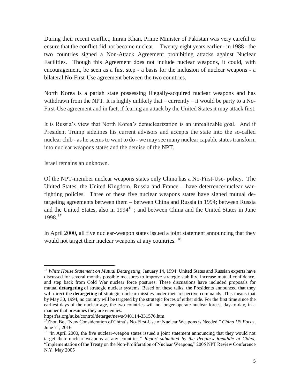During their recent conflict, Imran Khan, Prime Minister of Pakistan was very careful to ensure that the conflict did not become nuclear. Twenty-eight years earlier - in 1988 - the two countries signed a Non-Attack Agreement prohibiting attacks against Nuclear Facilities. Though this Agreement does not include nuclear weapons, it could, with encouragement, be seen as a first step - a basis for the inclusion of nuclear weapons - a bilateral No-First-Use agreement between the two countries.

North Korea is a pariah state possessing illegally-acquired nuclear weapons and has withdrawn from the NPT. It is highly unlikely that – currently – it would be party to a No-First-Use agreement and in fact, if fearing an attack by the United States it may attack first.

It is Russia's view that North Korea's denuclearization is an unrealizable goal. And if President Trump sidelines his current advisors and accepts the state into the so-called nuclear club - as he seems to want to do - we may see many nuclear capable states transform into nuclear weapons states and the demise of the NPT.

Israel remains an unknown.

 $\overline{\phantom{a}}$ 

Of the NPT-member nuclear weapons states only China has a No-First-Use- policy. The United States, the United Kingdom, Russia and France – have deterrence/nuclear warfighting policies. Three of these five nuclear weapons states have signed mutual detargeting agreements between them – between China and Russia in 1994; between Russia and the United States, also in 1994<sup>16</sup>; and between China and the United States in June 1998*. 17*

In April 2000, all five nuclear-weapon states issued a joint statement announcing that they would not target their nuclear weapons at any countries. <sup>18</sup>

<sup>&</sup>lt;sup>16</sup> White House Statement on Mutual Detargeting, January 14, 1994: United States and Russian experts have discussed for several months possible measures to improve strategic stability, increase mutual confidence, and step back from Cold War nuclear force postures. These discussions have included proposals for mutual **detargeting** of strategic nuclear systems. Based on these talks, the Presidents announced that they will direct the **detargeting** of strategic nuclear missiles under their respective commands. This means that by May 30, 1994, no country will be targeted by the strategic forces of either side. For the first time since the earliest days of the nuclear age, the two countries will no longer operate nuclear forces, day-to-day, in a manner that presumes they are enemies.

https:fas.org/nuke/control/detarget/news/940114-331576.htm

<sup>17</sup>Zhou Bo, "New Consideration of China's No-First-Use of Nuclear Weapons is Needed." *China US Focus,*  June 7<sup>th</sup>, 2016

<sup>&</sup>lt;sup>18</sup> "In April 2000, the five nuclear-weapon states issued a joint statement announcing that they would not target their nuclear weapons at any countries." *Report submitted by the People's Republic of China,*  "Implementation of the Treaty on the Non-Proliferation of Nuclear Weapons," 2005 NPT Review Conference N.Y. May 2005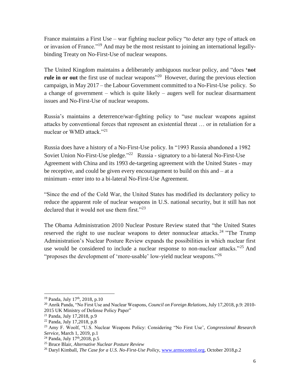France maintains a First Use – war fighting nuclear policy "to deter any type of attack on or invasion of France."<sup>19</sup> And may be the most resistant to joining an international legallybinding Treaty on No-First-Use of nuclear weapons.

The United Kingdom maintains a deliberately ambiguous nuclear policy, and "does **'not rule in or out** the first use of nuclear weapons<sup>"20</sup> However, during the previous election campaign, in May 2017 – the Labour Government committed to a No-First-Use policy. So a change of government – which is quite likely – augers well for nuclear disarmament issues and No-First-Use of nuclear weapons.

Russia's maintains a deterrence/war-fighting policy to "use nuclear weapons against attacks by conventional forces that represent an existential threat … or in retaliation for a nuclear or WMD attack."<sup>21</sup>

Russia does have a history of a No-First-Use policy. In "1993 Russia abandoned a 1982 Soviet Union No-First-Use pledge."<sup>22</sup> Russia - signatory to a bi-lateral No-First-Use Agreement with China and its 1993 de-targeting agreement with the United States - may be receptive, and could be given every encouragement to build on this and – at a minimum - enter into to a bi-lateral No-First-Use Agreement.

"Since the end of the Cold War, the United States has modified its declaratory policy to reduce the apparent role of nuclear weapons in U.S. national security, but it still has not declared that it would not use them first."<sup>23</sup>

The Obama Administration 2010 Nuclear Posture Review stated that "the United States reserved the right to use nuclear weapons to deter nonnuclear attacks.<sup>24</sup> "The Trump Administration's Nuclear Posture Review expands the possibilities in which nuclear first use would be considered to include a nuclear response to non-nuclear attacks."<sup>25</sup> And "proposes the development of 'more-usable' low-yield nuclear weapons."<sup>26</sup>

<sup>&</sup>lt;sup>19</sup> Panda, July 17<sup>th</sup>, 2018, p.10

<sup>20</sup> Anrik Panda, "No First Use and Nuclear Weapons, *Council on Foreign Relations*, July 17,2018, p.9: 2010- 2015 UK Ministry of Defense Policy Paper"

<sup>21</sup> Panda, July 17,2018, p.9

<sup>22</sup> Panda, July 17,2018, p.8

<sup>23</sup> Amy F. Woolf, "U.S. Nuclear Weapons Policy: Considering "No First Use', *Congressional Research Service,* March 1, 2019, p.1

<sup>&</sup>lt;sup>24</sup> Panda, July 17<sup>th</sup>,2018, p.5

<sup>25</sup> Bruce Blair, *Alternative Nuclear Posture Review*

<sup>26</sup> Daryl Kimball, *The Case for a U.S. No-First-Use Policy,* [www.armscontrol.org,](http://www.armscontrol.org/) October 2018,p.2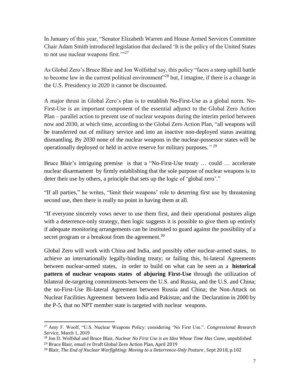In January of this year, "Senator Elizabeth Warren and House Armed Services Committee Chair Adam Smith introduced legislation that declared 'It is the policy of the United States to not use nuclear weapons first."<sup>27</sup>

As Global Zero's Bruce Blair and Jon Wolfsthal say, this policy "faces a steep uphill battle to become law in the current political environment<sup>"28</sup> but, I imagine, if there is a change in the U.S. Presidency in 2020 it cannot be discounted.

A major thrust in Global Zero's plan is to establish No-First-Use as a global norm. No-First-Use is an important component of the essential adjunct to the Global Zero Action Plan – parallel action to prevent use of nuclear weapons during the interim period between now and 2030, at which time, according to the Global Zero Action Plan, "all weapons will be transferred out of military service and into an inactive non-deployed status awaiting dismantling. By 2030 none of the nuclear weapons in the nuclear-possessor states will be operationally deployed or held in active reserve for military purposes*." 29*

Bruce Blair's intriguing premise is that a "No-First-Use treaty … could … accelerate nuclear disarmament by firmly establishing that the sole purpose of nuclear weapons is to deter their use by others, a principle that sets up the logic of 'global zero'."

"If all parties," he writes, "limit their weapons' role to deterring first use by threatening second use, then there is really no point in having them at all.

"If everyone sincerely vows never to use them first, and their operational postures align with a deterrence-only strategy, then logic suggests it is possible to give them up entirely if adequate monitoring arrangements can be instituted to guard against the possibility of a secret program or a breakout from the agreement.<sup>30</sup>

Global Zero will work with China and India, and possibly other nuclear-armed states, to achieve an internationally legally-binding treaty; or failing this, bi-lateral Agreements between nuclear-armed states, in order to build on what can be seen as a **historical pattern of nuclear weapons states of abjuring First-Use** through the utilization of bilateral de-targeting commitments between the U.S. and Russia, and the U.S. and China; the no-First-Use Bi-lateral Agreement between Russia and China; the Non-Attack on Nuclear Facilities Agreement between India and Pakistan; and the Declaration in 2000 by the P-5, that no NPT member state is targeted with nuclear weapons.

<sup>27</sup> Amy F. Woolf, "U.S. Nuclear Weapons Policy: considering 'No First Use.". *Congressional Research Service,* March 1, 2019

<sup>28</sup> Jon D. Wolfshal and Bruce Blair, *Nuclear No First Use is an Idea Whose Time Has Come*, unpublished

<sup>29</sup> Bruce Blair, email re Draft Global Zero Action Plan, April 2019

<sup>&</sup>lt;sup>30</sup> Blair, *The End of Nuclear Warfighting: Moving to a Deterrence-Only Posture*, Sept 2018, p.102